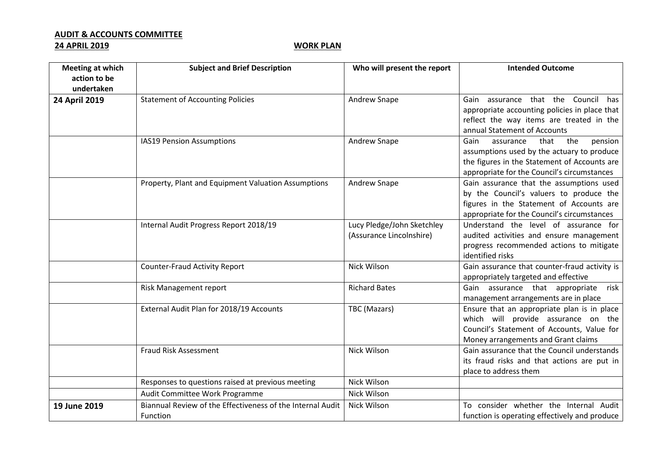## **AUDIT & ACCOUNTS COMMITTEE**

## **24 APRIL 2019 WORK PLAN**

| <b>Meeting at which</b> | <b>Subject and Brief Description</b>                       | Who will present the report | <b>Intended Outcome</b>                                                                    |
|-------------------------|------------------------------------------------------------|-----------------------------|--------------------------------------------------------------------------------------------|
| action to be            |                                                            |                             |                                                                                            |
| undertaken              |                                                            |                             |                                                                                            |
| 24 April 2019           | <b>Statement of Accounting Policies</b>                    | <b>Andrew Snape</b>         | Gain assurance that the Council<br>has                                                     |
|                         |                                                            |                             | appropriate accounting policies in place that                                              |
|                         |                                                            |                             | reflect the way items are treated in the                                                   |
|                         |                                                            |                             | annual Statement of Accounts                                                               |
|                         | IAS19 Pension Assumptions                                  | Andrew Snape                | that<br>the<br>Gain<br>assurance<br>pension                                                |
|                         |                                                            |                             | assumptions used by the actuary to produce<br>the figures in the Statement of Accounts are |
|                         |                                                            |                             | appropriate for the Council's circumstances                                                |
|                         | Property, Plant and Equipment Valuation Assumptions        | Andrew Snape                | Gain assurance that the assumptions used                                                   |
|                         |                                                            |                             | by the Council's valuers to produce the                                                    |
|                         |                                                            |                             | figures in the Statement of Accounts are                                                   |
|                         |                                                            |                             | appropriate for the Council's circumstances                                                |
|                         | Internal Audit Progress Report 2018/19                     | Lucy Pledge/John Sketchley  | Understand the level of assurance for                                                      |
|                         |                                                            | (Assurance Lincolnshire)    | audited activities and ensure management                                                   |
|                         |                                                            |                             | progress recommended actions to mitigate                                                   |
|                         |                                                            |                             | identified risks                                                                           |
|                         | <b>Counter-Fraud Activity Report</b>                       | <b>Nick Wilson</b>          | Gain assurance that counter-fraud activity is                                              |
|                         |                                                            |                             | appropriately targeted and effective                                                       |
|                         | Risk Management report                                     | <b>Richard Bates</b>        | Gain assurance that appropriate<br>risk                                                    |
|                         | External Audit Plan for 2018/19 Accounts                   | TBC (Mazars)                | management arrangements are in place<br>Ensure that an appropriate plan is in place        |
|                         |                                                            |                             | which will provide assurance on the                                                        |
|                         |                                                            |                             | Council's Statement of Accounts, Value for                                                 |
|                         |                                                            |                             | Money arrangements and Grant claims                                                        |
|                         | Fraud Risk Assessment                                      | Nick Wilson                 | Gain assurance that the Council understands                                                |
|                         |                                                            |                             | its fraud risks and that actions are put in                                                |
|                         |                                                            |                             | place to address them                                                                      |
|                         | Responses to questions raised at previous meeting          | <b>Nick Wilson</b>          |                                                                                            |
|                         | Audit Committee Work Programme                             | Nick Wilson                 |                                                                                            |
| 19 June 2019            | Biannual Review of the Effectiveness of the Internal Audit | Nick Wilson                 | To consider whether the Internal Audit                                                     |
|                         | Function                                                   |                             | function is operating effectively and produce                                              |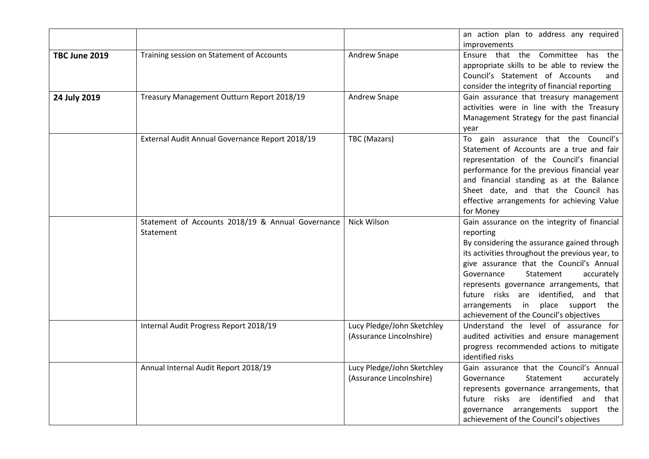|               |                                                                |                                                        | an action plan to address any required<br>improvements                                                                                                                                                                                                                                                                                                                                                                   |
|---------------|----------------------------------------------------------------|--------------------------------------------------------|--------------------------------------------------------------------------------------------------------------------------------------------------------------------------------------------------------------------------------------------------------------------------------------------------------------------------------------------------------------------------------------------------------------------------|
| TBC June 2019 | Training session on Statement of Accounts                      | Andrew Snape                                           | Ensure that the Committee has the<br>appropriate skills to be able to review the<br>Council's Statement of Accounts<br>and<br>consider the integrity of financial reporting                                                                                                                                                                                                                                              |
| 24 July 2019  | Treasury Management Outturn Report 2018/19                     | Andrew Snape                                           | Gain assurance that treasury management<br>activities were in line with the Treasury<br>Management Strategy for the past financial<br>year                                                                                                                                                                                                                                                                               |
|               | External Audit Annual Governance Report 2018/19                | TBC (Mazars)                                           | To gain assurance that the Council's<br>Statement of Accounts are a true and fair<br>representation of the Council's financial<br>performance for the previous financial year<br>and financial standing as at the Balance<br>Sheet date, and that the Council has<br>effective arrangements for achieving Value<br>for Money                                                                                             |
|               | Statement of Accounts 2018/19 & Annual Governance<br>Statement | Nick Wilson                                            | Gain assurance on the integrity of financial<br>reporting<br>By considering the assurance gained through<br>its activities throughout the previous year, to<br>give assurance that the Council's Annual<br>Governance<br>Statement<br>accurately<br>represents governance arrangements, that<br>future risks are identified, and that<br>place support the<br>arrangements in<br>achievement of the Council's objectives |
|               | Internal Audit Progress Report 2018/19                         | Lucy Pledge/John Sketchley<br>(Assurance Lincolnshire) | Understand the level of assurance for<br>audited activities and ensure management<br>progress recommended actions to mitigate<br>identified risks                                                                                                                                                                                                                                                                        |
|               | Annual Internal Audit Report 2018/19                           | Lucy Pledge/John Sketchley<br>(Assurance Lincolnshire) | Gain assurance that the Council's Annual<br>Governance<br>Statement<br>accurately<br>represents governance arrangements, that<br>future risks are identified and that<br>governance arrangements support the<br>achievement of the Council's objectives                                                                                                                                                                  |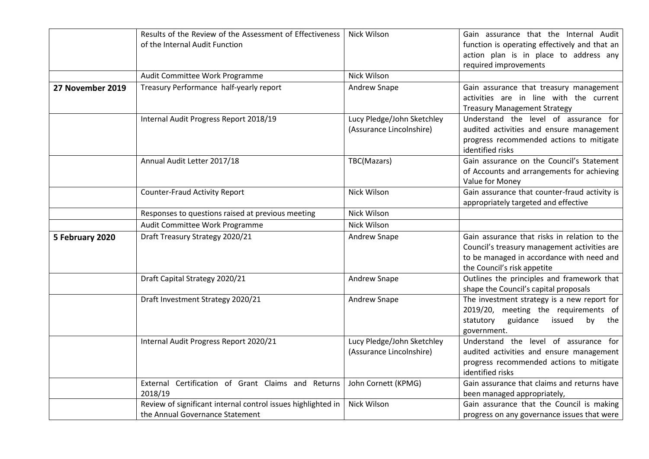|                  | Results of the Review of the Assessment of Effectiveness<br>of the Internal Audit Function      | Nick Wilson                                            | Gain assurance that the Internal Audit<br>function is operating effectively and that an<br>action plan is in place to address any<br>required improvements               |
|------------------|-------------------------------------------------------------------------------------------------|--------------------------------------------------------|--------------------------------------------------------------------------------------------------------------------------------------------------------------------------|
|                  | Audit Committee Work Programme                                                                  | Nick Wilson                                            |                                                                                                                                                                          |
| 27 November 2019 | Treasury Performance half-yearly report                                                         | Andrew Snape                                           | Gain assurance that treasury management<br>activities are in line with the current<br><b>Treasury Management Strategy</b>                                                |
|                  | Internal Audit Progress Report 2018/19                                                          | Lucy Pledge/John Sketchley<br>(Assurance Lincolnshire) | Understand the level of assurance for<br>audited activities and ensure management<br>progress recommended actions to mitigate<br>identified risks                        |
|                  | Annual Audit Letter 2017/18                                                                     | TBC(Mazars)                                            | Gain assurance on the Council's Statement<br>of Accounts and arrangements for achieving<br>Value for Money                                                               |
|                  | <b>Counter-Fraud Activity Report</b>                                                            | Nick Wilson                                            | Gain assurance that counter-fraud activity is<br>appropriately targeted and effective                                                                                    |
|                  | Responses to questions raised at previous meeting                                               | Nick Wilson                                            |                                                                                                                                                                          |
|                  | Audit Committee Work Programme                                                                  | <b>Nick Wilson</b>                                     |                                                                                                                                                                          |
| 5 February 2020  | Draft Treasury Strategy 2020/21                                                                 | Andrew Snape                                           | Gain assurance that risks in relation to the<br>Council's treasury management activities are<br>to be managed in accordance with need and<br>the Council's risk appetite |
|                  | Draft Capital Strategy 2020/21                                                                  | Andrew Snape                                           | Outlines the principles and framework that<br>shape the Council's capital proposals                                                                                      |
|                  | Draft Investment Strategy 2020/21                                                               | Andrew Snape                                           | The investment strategy is a new report for<br>2019/20, meeting the requirements of<br>statutory<br>guidance<br>issued<br>by<br>the<br>government.                       |
|                  | Internal Audit Progress Report 2020/21                                                          | Lucy Pledge/John Sketchley<br>(Assurance Lincolnshire) | Understand the level of assurance for<br>audited activities and ensure management<br>progress recommended actions to mitigate<br>identified risks                        |
|                  | Certification of Grant Claims and Returns<br>External<br>2018/19                                | John Cornett (KPMG)                                    | Gain assurance that claims and returns have<br>been managed appropriately,                                                                                               |
|                  | Review of significant internal control issues highlighted in<br>the Annual Governance Statement | Nick Wilson                                            | Gain assurance that the Council is making<br>progress on any governance issues that were                                                                                 |